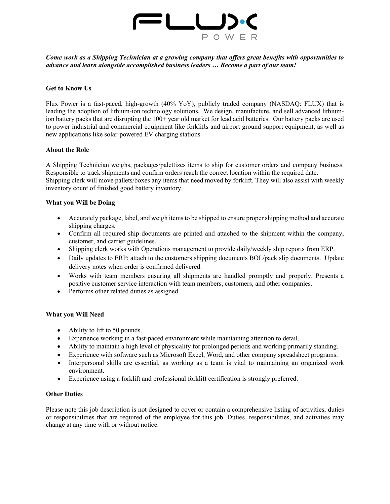

*Come work as a Shipping Technician at a growing company that offers great benefits with opportunities to advance and learn alongside accomplished business leaders … Become a part of our team!* 

### **Get to Know Us**

Flux Power is a fast-paced, high-growth (40% YoY), publicly traded company (NASDAQ: FLUX) that is leading the adoption of lithium-ion technology solutions. We design, manufacture, and sell advanced lithiumion battery packs that are disrupting the 100+ year old market for lead acid batteries. Our battery packs are used to power industrial and commercial equipment like forklifts and airport ground support equipment, as well as new applications like solar-powered EV charging stations.

### **About the Role**

A Shipping Technician weighs, packages/palettizes items to ship for customer orders and company business. Responsible to track shipments and confirm orders reach the correct location within the required date. Shipping clerk will move pallets/boxes any items that need moved by forklift. They will also assist with weekly inventory count of finished good battery inventory.

### **What you Will be Doing**

- Accurately package, label, and weigh items to be shipped to ensure proper shipping method and accurate shipping charges.
- Confirm all required ship documents are printed and attached to the shipment within the company, customer, and carrier guidelines.
- Shipping clerk works with Operations management to provide daily/weekly ship reports from ERP.
- Daily updates to ERP; attach to the customers shipping documents BOL/pack slip documents. Update delivery notes when order is confirmed delivered.
- Works with team members ensuring all shipments are handled promptly and properly. Presents a positive customer service interaction with team members, customers, and other companies.
- Performs other related duties as assigned

### **What you Will Need**

- Ability to lift to 50 pounds.
- Experience working in a fast-paced environment while maintaining attention to detail.
- Ability to maintain a high level of physicality for prolonged periods and working primarily standing.
- Experience with software such as Microsoft Excel, Word, and other company spreadsheet programs.
- Interpersonal skills are essential, as working as a team is vital to maintaining an organized work environment.
- Experience using a forklift and professional forklift certification is strongly preferred.

### **Other Duties**

Please note this job description is not designed to cover or contain a comprehensive listing of activities, duties or responsibilities that are required of the employee for this job. Duties, responsibilities, and activities may change at any time with or without notice.